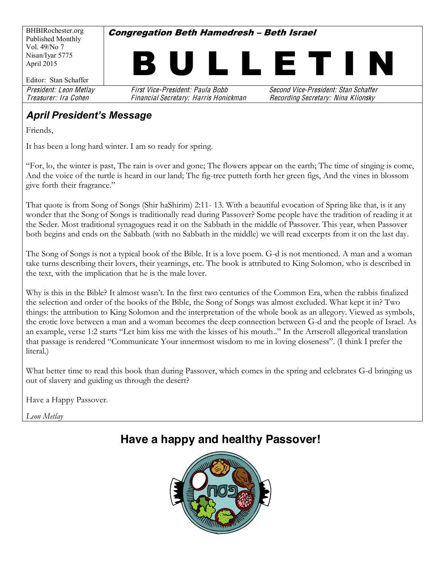BHBIRochester.org Published Monthly Vol. 49/No 7 Nisan/Iyar 5775 April 2015

**Congregation Beth Hamedresh - Beth Israel** 



Editor: Stan Schaffer

President: Leon Metlay First Vice-President: Paula Bobb Second Vice-President: Stan Schaffe<sup>r</sup> Treasurer: Ira Cohe<sup>n</sup> Financial Secretary: Harri<sup>s</sup> Honickman Recording Secretary: Nina Klionsky

### **April President's Message**

Friends,

It has been a long hard winter. I am so ready for spring.

"For, lo, the winter is past, The rain is over and gone; The flowers appear on the earth; The time of singing is come, And the voice of the turtle is heard in our land< The fig-tree putteth forth her green figs, And the vines in blossom give forth their fragrance."

That quote is from Song of Songs (Shir haShirim) 2:11- 13. With a beautiful evocation of Spring like that, is it any wonder that the Song of Songs is traditionally read during Passover? Some people have the tradition of reading it at the Seder. Most traditional synagogues read it on the Sabbath in the middle of Passover. This year, when Passover both begins and ends on the Sabbath (with no Sabbath in the middle) we will read excerpts from it on the last day.

The Song of Songs is not a typical book of the Bible. It is a love poem. G-d is not mentioned. A man and a woman take turns describing their lovers, their yearnings, etc. The book is attributed to King Solomon*,* who is described in the text, with the implication that he is the male lover.

Why is this in the Bible? It almost wasn't. In the first two centuries of the Common Era, when the rabbis finalized the selection and order of the books of the Bible, the Song of Songs was almost excluded. What kept it in? Two things: the attribution to King Solomon and the interpretation of the whole book as an allegory. Viewed as symbols, the erotic love between a man and a woman becomes the deep connection between G-d and the people of Israel. As an example, verse 1:2 starts "Let him kiss me with the kisses of his mouth.." In the Artscroll allegorical translation that passage is rendered "Communicate Your innermost wisdom to me in loving closeness". (I think I prefer the literal.)

What better time to read this book than during Passover, which comes in the spring and celebrates G-d bringing us out of slavery and guiding us through the desert?

Have a Happy Passover.

*Leon Metlay*

# **Have a happy and healthy Passover!**

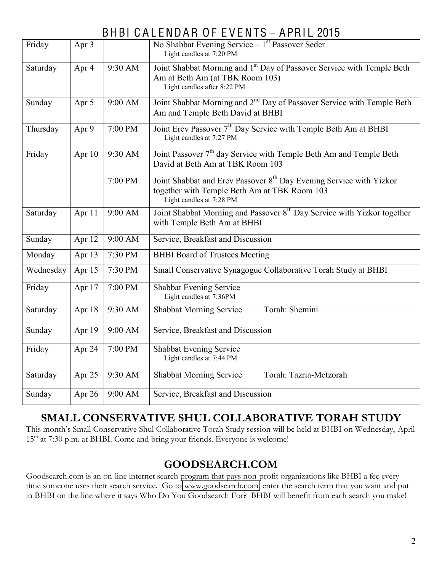# BHBI CALENDAR OF EVENTS - APRIL 2015

| Friday    | Apr 3  |           | No Shabbat Evening Service $-1st$ Passover Seder<br>Light candles at 7:20 PM                                                                                |  |  |  |  |
|-----------|--------|-----------|-------------------------------------------------------------------------------------------------------------------------------------------------------------|--|--|--|--|
| Saturday  | Apr 4  | 9:30 AM   | Joint Shabbat Morning and 1 <sup>st</sup> Day of Passover Service with Temple Beth<br>Am at Beth Am (at TBK Room 103)<br>Light candles after 8:22 PM        |  |  |  |  |
| Sunday    | Apr 5  | 9:00 AM   | Joint Shabbat Morning and 2 <sup>nd</sup> Day of Passover Service with Temple Beth<br>Am and Temple Beth David at BHBI                                      |  |  |  |  |
| Thursday  | Apr 9  | 7:00 PM   | Joint Erev Passover 7 <sup>th</sup> Day Service with Temple Beth Am at BHBI<br>Light candles at 7:27 PM                                                     |  |  |  |  |
| Friday    | Apr 10 | 9:30 AM   | Joint Passover 7 <sup>th</sup> day Service with Temple Beth Am and Temple Beth<br>David at Beth Am at TBK Room 103                                          |  |  |  |  |
|           |        | 7:00 PM   | Joint Shabbat and Erev Passover 8 <sup>th</sup> Day Evening Service with Yizkor<br>together with Temple Beth Am at TBK Room 103<br>Light candles at 7:28 PM |  |  |  |  |
| Saturday  | Apr 11 | 9:00 AM   | Joint Shabbat Morning and Passover 8 <sup>th</sup> Day Service with Yizkor together<br>with Temple Beth Am at BHBI                                          |  |  |  |  |
| Sunday    | Apr 12 | $9:00$ AM | Service, Breakfast and Discussion                                                                                                                           |  |  |  |  |
| Monday    | Apr 13 | 7:30 PM   | <b>BHBI</b> Board of Trustees Meeting                                                                                                                       |  |  |  |  |
| Wednesday | Apr 15 | 7:30 PM   | Small Conservative Synagogue Collaborative Torah Study at BHBI                                                                                              |  |  |  |  |
| Friday    | Apr 17 | 7:00 PM   | Shabbat Evening Service<br>Light candles at 7:36PM                                                                                                          |  |  |  |  |
| Saturday  | Apr 18 | 9:30 AM   | Torah: Shemini<br><b>Shabbat Morning Service</b>                                                                                                            |  |  |  |  |
| Sunday    | Apr 19 | 9:00 AM   | Service, Breakfast and Discussion                                                                                                                           |  |  |  |  |
| Friday    | Apr 24 | 7:00 PM   | Shabbat Evening Service<br>Light candles at 7:44 PM                                                                                                         |  |  |  |  |
| Saturday  | Apr 25 | 9:30 AM   | Torah: Tazria-Metzorah<br><b>Shabbat Morning Service</b>                                                                                                    |  |  |  |  |
| Sunday    | Apr 26 | 9:00 AM   | Service, Breakfast and Discussion                                                                                                                           |  |  |  |  |

# **SMALL CONSERVATIVE SHUL COLLABORATIVE TORAH STUDY**

This month's Small Conservative Shul Collaborative Torah Study session will be held at BHBI on Wednesday, April 15<sup>th</sup> at 7:30 p.m. at BHBI. Come and bring your friends. Everyone is welcome!

# **GOODSEARCH.COM**

Goodsearch.com is an on-line internet search program that pays non-profit organizations like BHBI a fee every time someone uses their search service. Go to [www.goodsearch.com,](http://www.goodsearch.com/) enter the search term that you want and put in BHBI on the line where it says Who Do You Goodsearch For? BHBI will benefit from each search you make!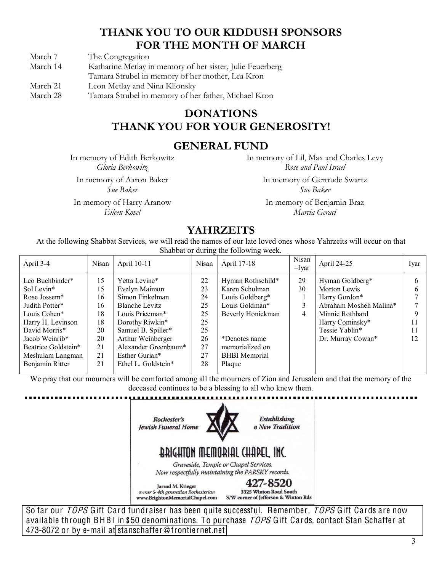## **THANK YOU TO OUR KIDDUSH SPONSORS FOR THE MONTH OF MARCH**

March 7 The Congregation

- March 14 Katharine Metlay in memory of her sister, Julie Feuerberg
- Tamara Strubel in memory of her mother, Lea Kron
- March 21 Leon Metlay and Nina Klionsky
- March 28 Tamara Strubel in memory of her father, Michael Kron

### **DONATIONS THANK YOU FOR YOUR GENEROSITY!**

#### **GENERAL FUND**

In memory of Edith Berkowitz *Gloria Berkowitz*

In memory of Aaron Baker *Sue Baker*

In memory of Harry Aranow *Eileen Kovel*

In memory of Lil, Max and Charles Levy *Rose and Paul Israel*

> In memory of Gertrude Swartz *Sue Baker*

In memory of Benjamin Braz *Marcia Geraci*

### **YAHRZEITS**

At the following Shabbat Services, we will read the names of our late loved ones whose Yahrzeits will occur on that Shabbat or during the following week.

| 29<br>Yetta Levine*<br>Leo Buchbinder*<br>22<br>Hyman Rothschild*<br>15<br>Hyman Goldberg*<br>30<br>15<br>Evelyn Maimon<br>23<br>Karen Schulman<br>Morton Lewis<br>Sol Levin*<br>Simon Finkelman<br>Louis Goldberg*<br>Rose Jossem*<br>16<br>Harry Gordon*<br>24<br>Abraham Mosheh Malina*<br>Louis Goldman*<br>3<br>Blanche Levitz<br>Judith Potter*<br>25<br>16<br>18<br>25<br>Beverly Honickman<br>4<br>Minnie Rothbard<br>Louis Cohen*<br>Louis Priceman*<br>18<br>Dorothy Riwkin*<br>25<br>Harry H. Levinson<br>Harry Cominsky*<br>11<br>Tessie Yablin*<br>Samuel B. Spiller*<br>David Morris*<br>25<br>20<br>Arthur Weinberger<br>26<br>20<br>Jacob Weinrib*<br>12<br>Dr. Murray Cowan*<br>*Denotes name<br>Alexander Greenbaum*<br>27<br>21<br>memorialized on<br>Beatrice Goldstein*<br>21<br>27<br>Meshulam Langman<br>Esther Gurian*<br><b>BHBI</b> Memorial | April 3-4       | Nisan | April 10-11         | Nisan | April 17-18 | Nisan<br>$-Ivar$ | April 24-25 | Iyar |
|------------------------------------------------------------------------------------------------------------------------------------------------------------------------------------------------------------------------------------------------------------------------------------------------------------------------------------------------------------------------------------------------------------------------------------------------------------------------------------------------------------------------------------------------------------------------------------------------------------------------------------------------------------------------------------------------------------------------------------------------------------------------------------------------------------------------------------------------------------------------|-----------------|-------|---------------------|-------|-------------|------------------|-------------|------|
|                                                                                                                                                                                                                                                                                                                                                                                                                                                                                                                                                                                                                                                                                                                                                                                                                                                                        | Benjamin Ritter | 21    | Ethel L. Goldstein* | 28    | Plaque      |                  |             |      |

We pray that our mourners will be comforted among all the mourners of Zion and Jerusalem and that the memory of the deceased continues to be a blessing to all who knew them.



So far our TOPS Gift Card fundraiser has been quite successful. Remember, TOPS Gift Cards are now available through BHBI in \$50 denominations. To purchase TOPS Gift Cards, contact Stan Schaffer at 473-8072 or by e-mail at stanschaffe[r@fronti](mailto:stanschaffer@frontiernet.net)ernet.net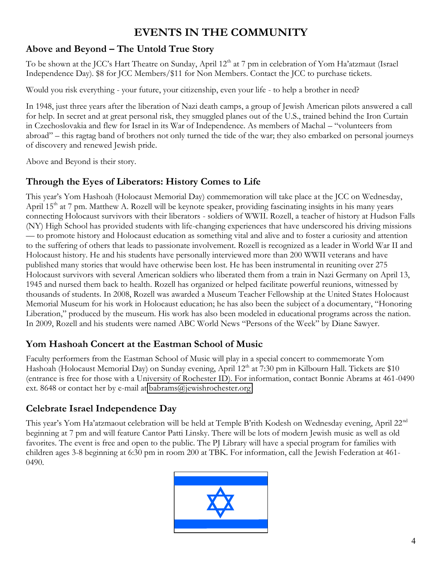# **EVENTS IN THE COMMUNITY**

#### Above and Beyond – The Untold True Story

To be shown at the JCC's Hart Theatre on Sunday, April 12<sup>th</sup> at 7 pm in celebration of Yom Ha'atzmaut (Israel Independence Day). \$8 for JCC Members/\$11 for Non Members. Contact the JCC to purchase tickets.

Would you risk everything - your future, your citizenship, even your life - to help a brother in need?

In 1948, just three years after the liberation of Nazi death camps, a group of Jewish American pilots answered a call for help. In secret and at great personal risk, they smuggled planes out of the U.S., trained behind the Iron Curtain in Czechoslovakia and flew for Israel in its War of Independence. As members of Machal - "volunteers from abroad" – this ragtag band of brothers not only turned the tide of the war; they also embarked on personal journeys of discovery and renewed Jewish pride.

Above and Beyond is their story.

#### **Through the Eyes of Liberators: History Comes to Life**

This year's Yom Hashoah (Holocaust Memorial Day) commemoration will take place at the JCC on Wednesday, April  $15<sup>th</sup>$  at 7 pm. Matthew A. Rozell will be keynote speaker, providing fascinating insights in his many years connecting Holocaust survivors with their liberators - soldiers of WWII. Rozell, a teacher of history at Hudson Falls (NY) High School has provided students with life-changing experiences that have underscored his driving missions ³ to promote history and Holocaust education as something vital and alive and to foster a curiosity and attention to the suffering of others that leads to passionate involvement. Rozell is recognized as a leader in World War II and Holocaust history. He and his students have personally interviewed more than 200 WWII veterans and have published many stories that would have otherwise been lost. He has been instrumental in reuniting over 275 Holocaust survivors with several American soldiers who liberated them from a train in Nazi Germany on April 13, 1945 and nursed them back to health. Rozell has organized or helped facilitate powerful reunions, witnessed by thousands of students. In 2008, Rozell was awarded a Museum Teacher Fellowship at the United States Holocaust Memorial Museum for his work in Holocaust education; he has also been the subject of a documentary, "Honoring Liberation," produced by the museum. His work has also been modeled in educational programs across the nation. In 2009, Rozell and his students were named ABC World News "Persons of the Week" by Diane Sawyer.

#### **Yom Hashoah Concert at the Eastman School of Music**

Faculty performers from the Eastman School of Music will play in a special concert to commemorate Yom Hashoah (Holocaust Memorial Day) on Sunday evening, April 12<sup>th</sup> at 7:30 pm in Kilbourn Hall. Tickets are \$10 (entrance is free for those with a University of Rochester ID). For information, contact Bonnie Abrams at 461-0490 ext. 8648 or contact her by e-mail at [babrams@jewishrochester.org](mailto:babrams@jewishrochester.org)

#### **Celebrate Israel Independence Day**

This year's Yom Ha'atzmaout celebration will be held at Temple B'rith Kodesh on Wednesday evening, April 22<sup>nd</sup> beginning at 7 pm and will feature Cantor Patti Linsky. There will be lots of modern Jewish music as well as old favorites. The event is free and open to the public. The PJ Library will have a special program for families with children ages 3-8 beginning at 6:30 pm in room 200 at TBK. For information, call the Jewish Federation at 461- 0490.

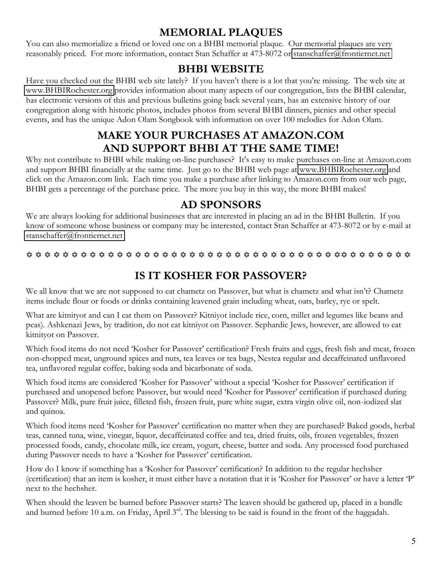### **MEMORIAL PLAQUES**

You can also memorialize a friend or loved one on a BHBI memorial plaque. Our memorial plaques are very reasonably priced. For more information, contact Stan Schaffer at 473-8072 or [stanschaffer@frontiernet.net](mailto:stanschaffer@frontiernet.net)

### **BHBI WEBSITE**

Have you checked out the BHBI web site lately? If you haven't there is a lot that you're missing. The web site at [www.BHBIRochester.org](http://www.bhbirochester.org/) provides information about many aspects of our congregation, lists the BHBI calendar, has electronic versions of this and previous bulletins going back several years, has an extensive history of our congregation along with historic photos, includes photos from several BHBI dinners, picnics and other special events, and has the unique Adon Olam Songbook with information on over 100 melodies for Adon Olam.

### **MAKE YOUR PURCHASES AT AMAZON.COM AND SUPPORT BHBI AT THE SAME TIME!**

Why not contribute to BHBI while making on-line purchases? It's easy to make purchases on-line at Amazon.com and support BHBI financially at the same time. Just go to the BHBI web page at [www.BHBIRochester.org](http://www.bhbirochester.org/) and click on the Amazon.com link. Each time you make a purchase after linking to Amazon.com from our web page, BHBI gets a percentage of the purchase price. The more you buy in this way, the more BHBI makes!

### **AD SPONSORS**

We are always looking for additional businesses that are interested in placing an ad in the BHBI Bulletin. If you know of someone whose business or company may be interested, contact Stan Schaffer at 473-8072 or by e-mail at [stanschaffer@frontiernet.net](mailto:stanschaffer@frontiernet.net)

 $\hskip111pt$   $\hskip11pt$   $\hskip11pt$   $\hskip11pt$   $\hskip11pt$   $\hskip11pt$   $\hskip11pt$   $\hskip11pt$   $\hskip11pt$   $\hskip11pt$   $\hskip11pt$   $\hskip11pt$   $\hskip11pt$   $\hskip11pt$   $\hskip11pt$   $\hskip11pt$   $\hskip11pt$   $\hskip11pt$   $\hskip11pt$   $\hskip11pt$   $\hskip11pt$   $\hskip11pt$   $\hskip11pt$   $\hskip11pt$   $\hskip$ 

# **IS IT KOSHER FOR PASSOVER?**

We all know that we are not supposed to eat chametz on Passover, but what is chametz and what isn't? Chametz items include flour or foods or drinks containing leavened grain including wheat, oats, barley, rye or spelt.

What are kitnityot and can I eat them on Passover? Kitniyot include rice, corn, millet and legumes like beans and peas). Ashkenazi Jews, by tradition, do not eat kitniyot on Passover. Sephardic Jews, however, are allowed to eat kitnityot on Passover.

Which food items do not need 'Kosher for Passover' certification? Fresh fruits and eggs, fresh fish and meat, frozen non-chopped meat, unground spices and nuts, tea leaves or tea bags, Nestea regular and decaffeinated unflavored tea, unflavored regular coffee, baking soda and bicarbonate of soda.

Which food items are considered 'Kosher for Passover' without a special 'Kosher for Passover' certification if purchased and unopened before Passover, but would need 'Kosher for Passover' certification if purchased during Passover? Milk, pure fruit juice, filleted fish, frozen fruit, pure white sugar, extra virgin olive oil, non-iodized slat and quinoa.

Which food items need 'Kosher for Passover' certification no matter when they are purchased? Baked goods, herbal teas, canned tuna, wine, vinegar, liquor, decaffeinated coffee and tea, dried fruits, oils, frozen vegetables, frozen processed foods, candy, chocolate milk, ice cream, yogurt, cheese, butter and soda. Any processed food purchased during Passover needs to have a 'Kosher for Passover' certification.

How do I know if something has a 'Kosher for Passover' certification? In addition to the regular hechsher (certification) that an item is kosher, it must either have a notation that it is 'Kosher for Passover' or have a letter 'P' next to the hechsher.

When should the leaven be burned before Passover starts? The leaven should be gathered up, placed in a bundle and burned before 10 a.m. on Friday, April 3<sup>rd</sup>. The blessing to be said is found in the front of the haggadah.